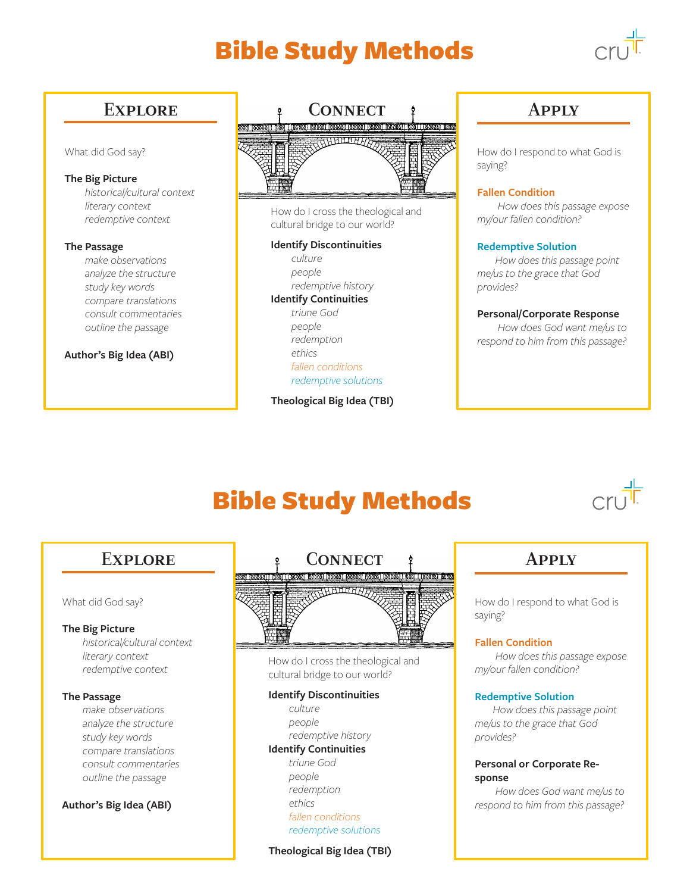# Bible Study Methods



# What did God say?

# **The Big Picture**

 *historical/cultural context literary context redemptive context*

### **The Passage**

 *make observations analyze the structure study key words compare translations consult commentaries outline the passage*

# **Author's Big Idea (ABI)**



How do I cross the theological and cultural bridge to our world?

### **Identify Discontinuities**

 *culture people redemptive history* **Identify Continuities**  *triune God people*

 *redemption ethics fallen conditions redemptive solutions*

**Theological Big Idea (TBI)**

How do I respond to what God is saying?

# **Fallen Condition**

 *How does this passage expose my/our fallen condition?*

# **Redemptive Solution**

 *How does this passage point me/us to the grace that God provides?*

# **Personal/Corporate Response**

 *How does God want me/us to respond to him from this passage?*

# Bible Study Methods



### What did God say?

# **The Big Picture**

 *historical/cultural context literary context redemptive context*

### **The Passage**

 *make observations analyze the structure study key words compare translations consult commentaries outline the passage*

# **Author's Big Idea (ABI)**



How do I cross the theological and cultural bridge to our world?

# **Identify Discontinuities**

 *culture people redemptive history* **Identify Continuities**  *triune God people redemption ethics fallen conditions redemptive solutions*

# **Theological Big Idea (TBI)**

How do I respond to what God is saying?

# **Fallen Condition**

 *How does this passage expose my/our fallen condition?*

### **Redemptive Solution**

 *How does this passage point me/us to the grace that God provides?*

# **Personal or Corporate Response**

 *How does God want me/us to respond to him from this passage?*